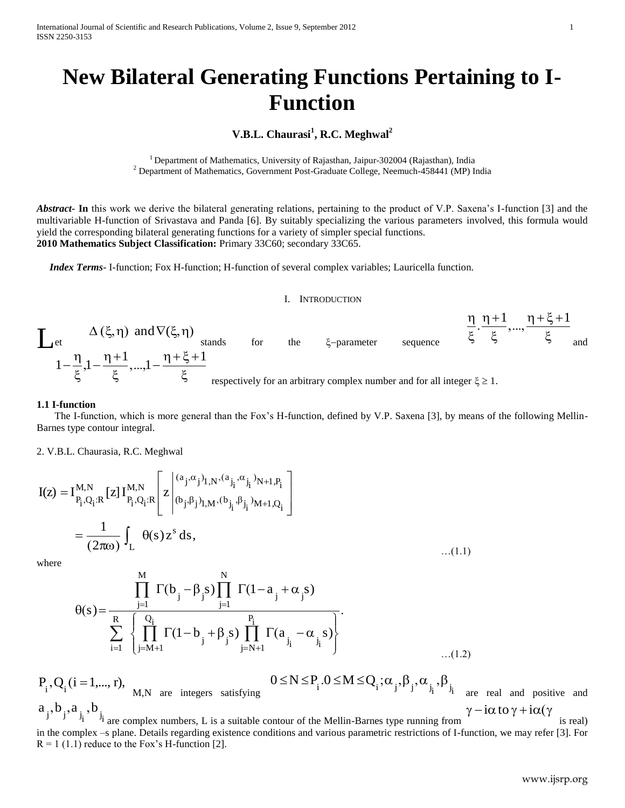# **New Bilateral Generating Functions Pertaining to I-Function**

# **V.B.L. Chaurasi<sup>1</sup> , R.C. Meghwal<sup>2</sup>**

<sup>1</sup> Department of Mathematics, University of Rajasthan, Jaipur-302004 (Rajasthan), India <sup>2</sup> Department of Mathematics, Government Post-Graduate College, Neemuch-458441 (MP) India

*Abstract***- In** this work we derive the bilateral generating relations, pertaining to the product of V.P. Saxena's I-function [3] and the multivariable H-function of Srivastava and Panda [6]. By suitably specializing the various parameters involved, this formula would yield the corresponding bilateral generating functions for a variety of simpler special functions. **2010 Mathematics Subject Classification:** Primary 33C60; secondary 33C65.

 *Index Terms*- I-function; Fox H-function; H-function of several complex variables; Lauricella function.

#### I. INTRODUCTION



#### **1.1 I-function**

 The I-function, which is more general than the Fox's H-function, defined by V.P. Saxena [3], by means of the following Mellin-Barnes type contour integral.

2. V.B.L. Chaurasia, R.C. Meghwal

$$
I(z) = I_{P_i,Q_i;R}^{M,N} [z] I_{P_i,Q_i;R}^{M,N} \left[ z \middle| \begin{matrix} (a_j, \alpha_j)_{1,N}, (a_{j_i}, \alpha_{j_i})_{N+1,P_i} \\ (b_j, \beta_j)_{1,M}, (b_{j_i}, \beta_{j_i})_{M+1,Q_i} \end{matrix} \right]
$$
  
= 
$$
\frac{1}{(2\pi\omega)} \int_L \theta(s) z^s ds,
$$
...(1.1)

where

$$
\theta(s) = \frac{\prod_{j=1}^{M} \Gamma(b_j - \beta_j s) \prod_{j=1}^{N} \Gamma(1 - a_j + \alpha_j s)}{\sum_{i=1}^{R} \prod_{j=M+1}^{Q_i} \Gamma(1 - b_j + \beta_j s) \prod_{j=N+1}^{P_i} \Gamma(a_{j_i} - \alpha_{j_i} s)}
$$
...(1.2)

 $P_i$ , Q<sub>i</sub> (i = 1,..., r), M,N are integers satisfying  $0 \le N \le P_i$ . $0 \le M \le Q_i$ ;  $\alpha_j$ ,  $\beta_j$ ,  $\alpha_{j_i}$ ,  $\beta_{j_i}$ are real and positive and  $a_j, b_j, a_{j_i}, b_{j_i}$  $\gamma - i\alpha$  to  $\gamma + i\alpha(\gamma)$ 

are complex numbers, L is a suitable contour of the Mellin-Barnes type running from is real) in the complex –s plane. Details regarding existence conditions and various parametric restrictions of I-function, we may refer [3]. For  $R = 1$  (1.1) reduce to the Fox's H-function [2].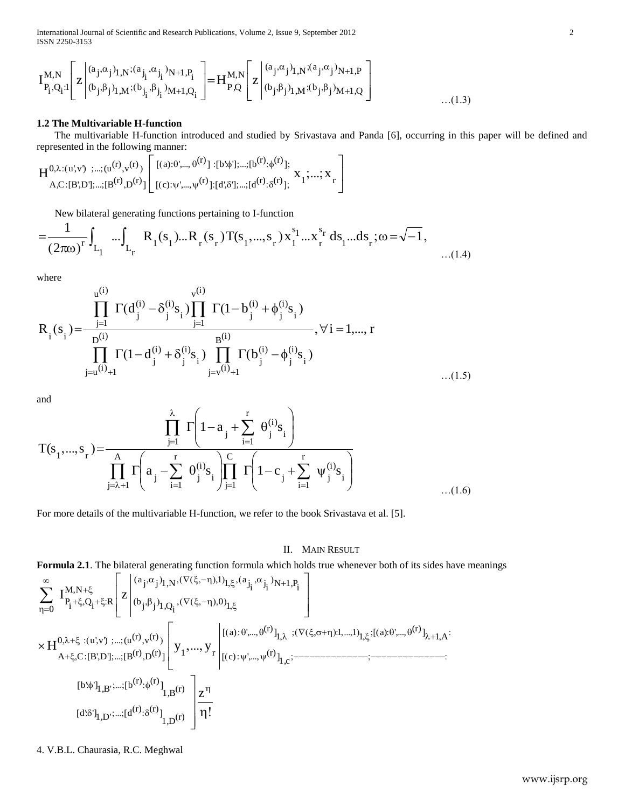International Journal of Scientific and Research Publications, Volume 2, Issue 9, September 2012 2 ISSN 2250-3153

ISSN 2250-3153  
\n
$$
I_{P_i,Q_i:1}^{M,N} \left[ z \middle| \begin{matrix} (a_j, \alpha_j)_{1,N}; (a_{j_i}, \alpha_{j_i})_{N+1,P_i} \\ (b_j, \beta_j)_{1,M}; (b_{j_i}, \beta_{j_i})_{M+1,Q_i} \end{matrix} \right] = H_{P,Q}^{M,N} \left[ z \middle| \begin{matrix} (a_j, \alpha_j)_{1,N}; (a_j, \alpha_j)_{N+1,P} \\ (b_j, \beta_j)_{1,M}; (b_j, \beta_j)_{M+1,Q} \end{matrix} \right]
$$
\n...(1.3)

## **1.2 The Multivariable H-function**

The multivariable H-function introduced and studied by Srivastava and Panda [6], occurring in this paper will be defined and represented in the following manner:<br>  $\mathbf{H}^{0,\lambda:(u',v)}$  ;...;( $u^{(r)}, v^{(r)}$ )  $\left[ [(a): \theta',..., \theta^{(r)}] : [$ 

represented in the following manner:  
\n
$$
H^{0,\lambda:(u',v')\;;...;(u^{(r)},v^{(r)})}\left[\begin{matrix}[(a): \theta',..., \theta^{(r)}]: [b:\phi'],...; [b^{(r)}:\phi^{(r)}];\\ [a]: \theta',..., \psi^{(r)}]: [d:\delta'],...; [d^{(r)}:\delta^{(r)}]; \end{matrix}\right]\times 1;...,X_r
$$

New bilateral generating functions pertaining to I-function

A,C:[B',D'],...; [B<sup>(x)</sup>,D<sup>(x)</sup>]] [[(c);
$$
\psi
$$
',..., $\psi$ <sup>(x)</sup>]:[d',\delta'],...;[d<sup>(x)</sup>:\delta<sup>(x)</sup>];  
\n
$$
= \frac{1}{(2\pi\omega)^{r}} \int_{L_1} ... \int_{L_r} R_1(s_1)...R_r(s_r)T(s_1,...,s_r) x_1^{s_1}...x_r^{s_r} ds_1...ds_r; \omega = \sqrt{-1},
$$
\n...(1.4)

where

$$
R_{i}(s_{i}) = \frac{\prod_{j=1}^{u^{(i)}} \Gamma(d_{j}^{(i)} - \delta_{j}^{(i)}s_{i}) \prod_{j=1}^{v^{(i)}} \Gamma(1 - b_{j}^{(i)} + \phi_{j}^{(i)}s_{i})}{\prod_{j=u^{(i)}+1} \Gamma(1 - d_{j}^{(i)} + \delta_{j}^{(i)}s_{i}) \prod_{j=v^{(i)}+1} \Gamma(b_{j}^{(i)} - \phi_{j}^{(i)}s_{i})}, \forall i = 1,..., r
$$
\n(1.5)

and

$$
T(s_1, ..., s_r) = \frac{\prod_{j=1}^{\lambda} \Gamma\left(1 - a_j + \sum_{i=1}^r \theta_j^{(i)} s_i\right)}{\prod_{j=\lambda+1}^A \Gamma\left(a_j - \sum_{i=1}^r \theta_j^{(i)} s_i\right) \prod_{j=1}^C \Gamma\left(1 - c_j + \sum_{i=1}^r \psi_j^{(i)} s_i\right)}
$$
...(1.6)

For more details of the multivariable H-function, we refer to the book Srivastava et al. [5].

### II. MAIN RESULT

www.ijsrp.org **Formula 2.1**. The bilateral generating function formula which holds true whenever both of its sides have meanings N 1 ,P j j 1 ,N i i j i j a 1 1 a 1 0 i j j 1 ,Q (b M,N <sup>R</sup> <sup>i</sup> <sup>Q</sup> <sup>i</sup> P 0 I z 1 A (r) a): ',..., <sup>1</sup> 1 1 1 (r) a): ',..., 1 ,c (r) c): ',..., 1 r (r) <sup>v</sup> (r) <sup>0</sup> u ',v ') ;...;(u (r) <sup>D</sup> (r) <sup>A</sup> C:[B',D '];...;[B H y y z (r) 1,B (r) (r) <sup>b</sup> 1,B' b': '] (r) 1,D (r) (r) <sup>d</sup> 1,D' d': ']

#### 4. V.B.L. Chaurasia, R.C. Meghwal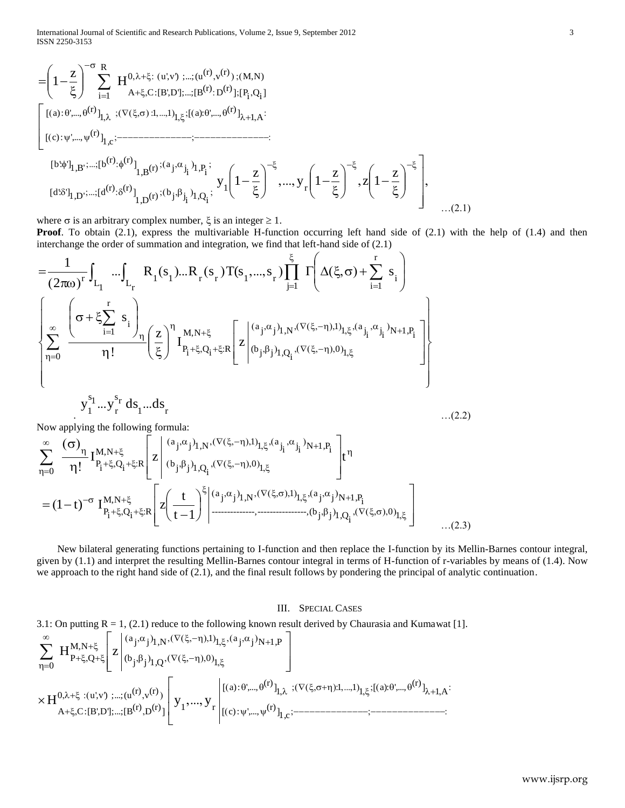International Journal of Scientific and Research Publications, Volume 2, Issue 9, September 2012 3 ISSN 2250-3153

$$
= \left(1 - \frac{z}{\xi}\right)^{-\sigma} \sum_{i=1}^{R} H^{0,\lambda+\xi:(u',v)\;;...;(u^{(r)},v^{(r)}):(M,N)}_{A+\xi,C:[B',D'],...;[B^{(r)}:D^{(r)}];[P_{i},Q_{i}]}\\ \left[\begin{array}{l} [(a):\theta',..., \theta^{(r)}]_{1,\lambda}:(\nabla(\xi,\sigma):1,...,1)_{1,\xi}:[(a):\theta',..., \theta^{(r)}]_{\lambda+1,A};\\ [(c):\psi',..., \psi^{(r)}]_{1,c};-\nabla\left[\begin{array}{c}\n\frac{\partial}{\partial y} \\
\frac{\partial}{\partial y} \\
\frac{\partial}{\partial z}\n\end{array}\right],\n\right]\n\begin{array}{l}\n\frac{\partial}{\partial y} \\
\frac{\partial}{\partial z} \\
\frac{\partial}{\partial z} \\
\frac{\partial}{\partial z}\n\end{array}
$$

where  $\sigma$  is an arbitrary complex number,  $\xi$  is an integer  $\geq 1$ .

**Proof**. To obtain (2.1), express the multivariable H-function occurring left hand side of (2.1) with the help of (1.4) and then interchange the order of summation and integration, we find that left-hand side of (2.1)

 i r j 1 i 1 1 1 r r 1 r r <sup>L</sup> <sup>1</sup> L r R s R s T(s s s 2 1 i N 1 ,P i j i j a 1 1 j j 1 ,N a 1 0 i j j 1 ,Q (b M,N <sup>R</sup> <sup>i</sup> <sup>Q</sup> <sup>i</sup> P i r i 1 0 I z z ! s r s 1 s 1 y y ds ds

 $\frac{J_1 \cdots J_r}{T}$   $\frac{a_{1} \cdots a_{1}^{T}}{T}$ r

Now applying the following formula:  
\n
$$
\sum_{\eta=0}^{\infty} \frac{(\sigma)_{\eta}}{\eta!} I_{P_i + \xi, Q_i + \xi:R}^{M, N + \xi} \left[ z \left| \begin{array}{c} (a_j, \alpha_j)_{1, N}, (\nabla(\xi, -\eta), 1)_{1, \xi}, (a_{j_i}, \alpha_{j_i})_{N+1, P_i} \\ (b_j, \beta_j)_{1, Q_i}, (\nabla(\xi, -\eta), 0)_{1, \xi} \end{array} \right] t^{\eta} \right]
$$
\n
$$
= (1 - t)^{-\sigma} I_{P_i + \xi, Q_i + \xi:R}^{M, N + \xi} \left[ z \left( \frac{t}{t - 1} \right)^{\xi} \left| \begin{array}{c} (a_j, \alpha_j)_{1, N}, (\nabla(\xi, \sigma), 1)_{1, \xi}, (a_j, \alpha_j)_{N+1, P_i} \\ \vdots \\ (\nabla(\xi, \sigma), 0)_{1, \xi} \end{array} \right] \right]
$$
\n...(2.3)

 New bilateral generating functions pertaining to I-function and then replace the I-function by its Mellin-Barnes contour integral, given by (1.1) and interpret the resulting Mellin-Barnes contour integral in terms of H-function of r-variables by means of (1.4). Now we approach to the right hand side of (2.1), and the final result follows by pondering the principal of analytic continuation.

#### III. SPECIAL CASES

3.1: On putting R = 1, (2.1) reduce to the following known result derived by Chaurasia and Kumawat [1].  
\n
$$
\sum_{\eta=0}^{\infty} H_{P+\xi,Q+\xi}^{M,N+\xi} \left[ z \middle| \begin{array}{l} (a_j,\alpha_j)_{1,N}, (\nabla(\xi,-\eta),1)_{1,\xi}, (a_j,\alpha_j)_{N+1,P} \\ (b_j,\beta_j)_{1,Q}, (\nabla(\xi,-\eta),0)_{1,\xi} \end{array} \right]
$$
\n
$$
\times H_{0,\lambda+\xi}^{0,\lambda+\xi} : (u',v) ;..., (u^{(r)},v^{(r)}) \left[ y_1,...,y_r \middle| \begin{array}{l} [(a):\theta',..., \theta^{(r)}]_{1,\lambda} ; (\nabla(\xi,\sigma+\eta);1,...,1)_{1,\xi} ; [(a):\theta',..., \theta^{(r)}]_{\lambda+1,A} ; \\ [(c):\psi',..., \psi^{(r)}]_{1,c}; \end{array} \right]
$$

…(2.2)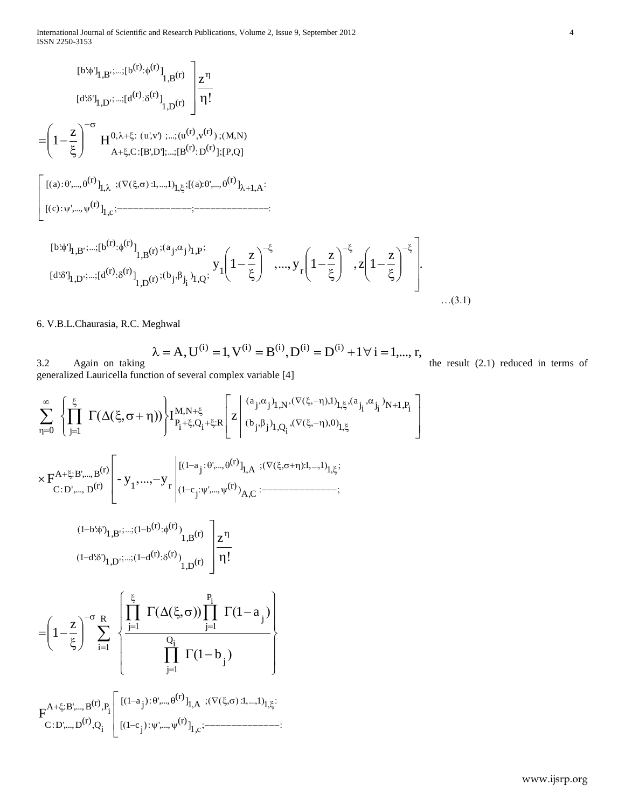$$
[b:\phi']_{1,B}^{\cdots,[b^{(r)}:\phi^{(r)}]}_{1,B}(r)
$$
\n
$$
= \left(1 - \frac{z}{\xi}\right)^{-\sigma} H_{0,\lambda+\xi}^{0,\lambda+\xi} \cdot (u',v) \cdot ... \cdot (u^{(r)},v^{(r)}) \cdot (M,N)
$$
\n
$$
= \left(1 - \frac{z}{\xi}\right)^{-\sigma} H_{0,\lambda+\xi}^{0,\lambda+\xi} \cdot (u',v) \cdot ... \cdot (u^{(r)},v^{(r)}) \cdot (M,N)
$$
\n
$$
\left[\left[(a): \theta',..., \theta^{(r)}\right]_{1,\lambda}, \left\{\nabla(\xi,\sigma): 1,...,1\right\}_{1,\xi}; \left[(a): \theta',..., \theta^{(r)}\right]_{\lambda+1,A};
$$
\n
$$
\left[\left[(c): \psi',..., \psi^{(r)}\right]_{1,c}; \left[\nabla(\xi,\sigma): 1,...,1\right]_{1,\xi}; \left[\nabla(\xi,\sigma): 1,...,1\right]_{1,\xi}^{\cdots} \cdot \left[\nabla(\xi,\sigma): 1,...,1\right]_{1,\xi}^{\cdots} \cdot \left[\nabla(\xi,\sigma): 1,...,1\right]_{1,\xi}^{\cdots} \cdot \left[\nabla(\xi,\sigma): 1,...,1\right]_{1,\xi}^{\cdots} \cdot \left[\nabla(\xi,\sigma): 1,...,1\right]_{1,\xi}^{\cdots} \cdot \left[\nabla(\xi,\sigma): 1,...,1\right]_{1,\xi}^{\cdots} \cdot \left[\nabla(\xi,\sigma): 1,...,1\right]_{1,\xi}^{\cdots} \cdot \left[\nabla(\xi,\sigma): 1,...,1\right]_{1,\xi}^{\cdots} \cdot \left[\nabla(\xi,\sigma): 1,...,1\right]_{1,\xi}^{\cdots} \cdot \left[\nabla(\xi,\sigma): 1,...,1\right]_{1,\xi}^{\cdots} \cdot \left[\nabla(\xi,\sigma): 1,...,1\right]_{1,\xi}^{\cdots} \cdot \left[\nabla(\xi,\sigma): 1,...,1\right]_{1,\xi}^{\cdots} \cdot \left[\nabla(\xi,\sigma): 1,...,1\right]_{1,\xi}^{\cdots} \cdot \left[\nabla(\xi,\sigma): 1,...,1\right]_{1,\xi}^{\cdots} \cdot \left[\nabla(\
$$

6. V.B.L.Chaurasia, R.C. Meghwal

3.2 Again on taking 
$$
\lambda = A, U^{(i)} = I, V^{(i)} = B^{(i)}, D^{(i)} = D^{(i)} + I \forall i = 1, ..., r
$$
,

the result (2.1) reduced in terms of

 $\overline{\phantom{a}}$  $\overline{\phantom{a}}$ 」

 $\overline{\phantom{a}}$ 

www.ijsrp.org generalized Lauricella function of several complex variable [4] j j 1 ,N i N 1 ,P i j i j a 1 1 a 1 0 i j j 1 ,Q b M,N <sup>R</sup> <sup>i</sup> <sup>Q</sup> <sup>i</sup> P 0 j 1 I z 1 1 1 1 A (r) : ',..., <sup>j</sup> 1 a A ,C (r) ',..., <sup>j</sup> 1 c 1 r (r) <sup>A</sup> B',...,B (r) C:D ',..., <sup>D</sup> F - y y z (r) 1,B (r) (r) <sup>1</sup> <sup>b</sup> 1,B' <sup>1</sup> b': ') (r) 1,D (r) (r) <sup>1</sup> <sup>d</sup> 1,D' <sup>1</sup> d': ') j i Q j 1 j i P j 1 j 1 R i 1 1 b 1 a z 1 1 1 1 1 A (r) ): ',..., <sup>j</sup> 1 a 1 ,c (r) ): ',..., <sup>j</sup> 1 c i P (r) <sup>A</sup> B',...,B i Q (r) C:D ',...,D F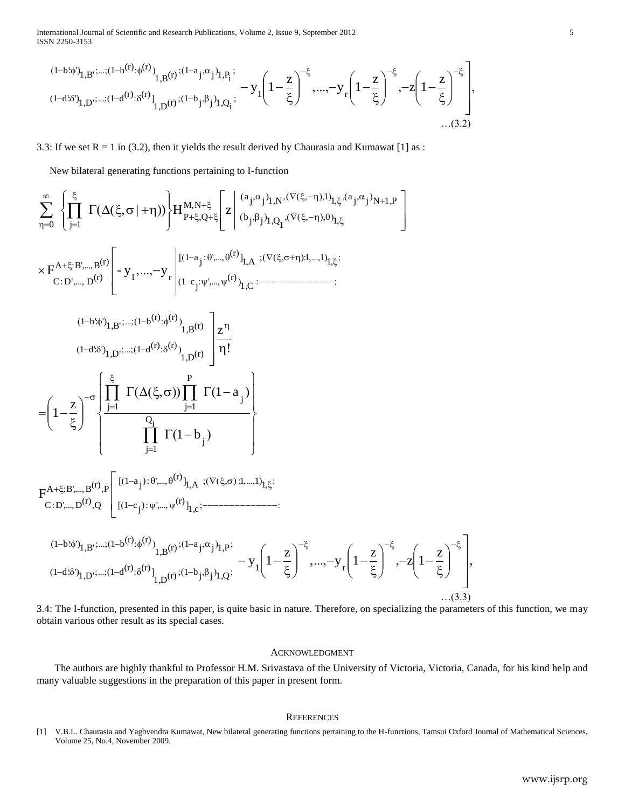International Journal of Scientific and Research Publications, Volume 2, Issue 9, September 2012 5 ISSN 2250-3153

Prational Journal of Scientific and Research Publications, Volume 2, Issue 9, September 2012

\nIN 2250-3153

\n
$$
(1-b\phi)^{1}_{1,B}\cdots (1-b^{(r)}\phi^{(r)})^{1}_{1,B}(r) \cdots (1-a_{j}\phi^{(r)})^{1}_{1,B}(r) \cdots (1-a_{j}\phi^{(r)})^{1}_{1,B}(r) \cdots (1-a_{j}\phi^{(r)})^{1}_{1,B}(r) \cdots (1-a_{j}\phi^{(r)})^{1}_{1,B}(r) \cdots (1-b_{j}\phi^{(r)})^{1}_{1,B}(r) \cdots (1-b_{j}\phi^{(r)})^{1}_{1,B}(r) \cdots (1-b_{j}\phi^{(r)})^{1}_{1,B}(r) \cdots (1-b_{j}\phi^{(r)})^{1}_{1,B}(r) \cdots (1-b_{j}\phi^{(r)})^{1}_{1,B}(r) \cdots (1-b_{j}\phi^{(r)})^{1}_{1,B}(r) \cdots (1-b_{j}\phi^{(r)})^{1}_{1,B}(r) \cdots (1-b_{j}\phi^{(r)})^{1}_{1,B}(r) \cdots (1-b_{j}\phi^{(r)})^{1}_{1,B}(r) \cdots (1-b_{j}\phi^{(r)})^{1}_{1,B}(r) \cdots (1-b_{j}\phi^{(r)})^{1}_{1,B}(r) \cdots (1-b_{j}\phi^{(r)})^{1}_{1,B}(r) \cdots (1-b_{j}\phi^{(r)})^{1}_{1,B}(r) \cdots (1-b_{j}\phi^{(r)})^{1}_{1,B}(r) \cdots (1-b_{j}\phi^{(r)})^{1}_{1,B}(r) \cdots (1-b_{j}\phi^{(r)})^{1}_{1,B}(r) \cdots (1-b_{j}\phi^{(r)})^{1}_{1,B}(r) \cdots (1-b_{j}\phi^{(r)})^{1}_{1,B}(r) \cdots (1-b_{j}\phi^{(r)})^{1}_{1,B}(r) \cdots (1-b_{j}\phi^{(r)})^{1}_{1,B}(r) \cdots (1-b_{j}\phi^{(r)})^{1}_{1,B}(r) \cdots (1-b_{j}\phi^{(r)})^{1}_{1,B}(r) \cdots (1-b_{j}\phi^{(r)})^{1}_{1,B}(r) \cdots (1-b_{j}\phi^{(r)})^{1}_{1,B}(r) \cdots (1-b_{j}\phi^{(r)})^{1}_{1,B}(r) \cdots (1-b_{j}\phi^{(r)})^{1}_{1,B}(r) \cdots (1-b_{j}\phi^{(r)})^{1}_{1,B
$$

3.3: If we set  $R = 1$  in (3.2), then it yields the result derived by Chaurasia and Kumawat [1] as :

New bilateral generating functions pertaining to I-function  
\n
$$
\sum_{\eta=0}^{\infty} \left\{ \prod_{j=1}^{\xi} \Gamma(\Delta(\xi,\sigma|+\eta)) \right\} H_{P+\xi,Q+\xi}^{M,N+\xi} \left[ z \left| \begin{array}{c} (a_j,\alpha_j)_{1,N}(\nabla(\xi,-\eta),I)_{1,\xi}(a_j,\alpha_j)_{N+1,P} \\ (b_j,\beta_j)_{1,Q_1}(\nabla(\xi,-\eta),0)_{1,\xi} \end{array} \right] \right\}
$$
\n
$$
\times F_{C:D',...,D}^{A+\xi;B',...,B}^{(r)} \left[ -y_1,...,-y_r \left| \begin{array}{c} [(1-a_j;\theta',\theta')_{1,Q},(\nabla(\xi,\sigma+\eta),I,...,I)_{1,\xi}; \\ (1-b\phi)_{1,B},...(1-b^{(r)},\phi^{(r)})_{1,B}(r) \end{array} \right| \frac{z^n}{n!} \right]
$$
\n
$$
= \left( 1 - \frac{z}{\xi} \right)^{-\sigma} \left\{ \prod_{j=1}^{\xi} \Gamma(\Delta(\xi,\sigma)) \prod_{j=1}^{P} \Gamma(1-a_j) \right\}
$$
\n
$$
F_{C:D',...,B}^{A+\xi;B',...,B}^{A+\xi;B',...B}^{(r)} \left[ \left(1-a_j\right) \frac{Q_1}{\prod_{j=1}^{Q_1}} \Gamma(1-b_j) \right] \right\}
$$
\n
$$
F_{C:D',...,B}^{A+\xi;B',...,B}^{A+\xi;B',...B}^{(r)} \left[ \left(1-a_j\right) \cdot \theta^{(r)},\theta^{(r)}\right]_{1,A} \cdot (\nabla(\xi,\sigma),I,...,I)_{1,\xi};
$$
\n
$$
F_{C:D',...,D}^{A+\xi;B',...,B}^{A+\xi;B',...B}^{(r)} \left[ \left(1-a_j\right) \cdot \theta^{(r)},\theta^{(r)}\right]_{1,A} \cdot (\nabla(\xi,\sigma),I,...,I)_{1,\xi};
$$
\n
$$
= \left( 1-b\phi_{1,B}^{A,\xi;B',...,B}^{A,\xi;B},\theta^{(r)}\right)_{1,B}^{A} \left[ \left(1-b_j\right) \cdot \theta^{(r)}\right]_{1,C};
$$
\n
$$
= \left( 1-b\
$$

3.4: The I-function, presented in this paper, is quite basic in nature. Therefore, on specializing the parameters of this function, we may obtain various other result as its special cases.

#### ACKNOWLEDGMENT

 The authors are highly thankful to Professor H.M. Srivastava of the University of Victoria, Victoria, Canada, for his kind help and many valuable suggestions in the preparation of this paper in present form.

#### **REFERENCES**

[1] V.B.L. Chaurasia and Yaghvendra Kumawat, New bilateral generating functions pertaining to the H-functions, Tamsui Oxford Journal of Mathematical Sciences, Volume 25, No.4, November 2009.

 $\overline{\phantom{0}}$ 

 $\overline{\phantom{a}}$  $\overline{\phantom{a}}$  $\overline{\phantom{a}}$ 

 $\overline{\phantom{a}}$ 

」